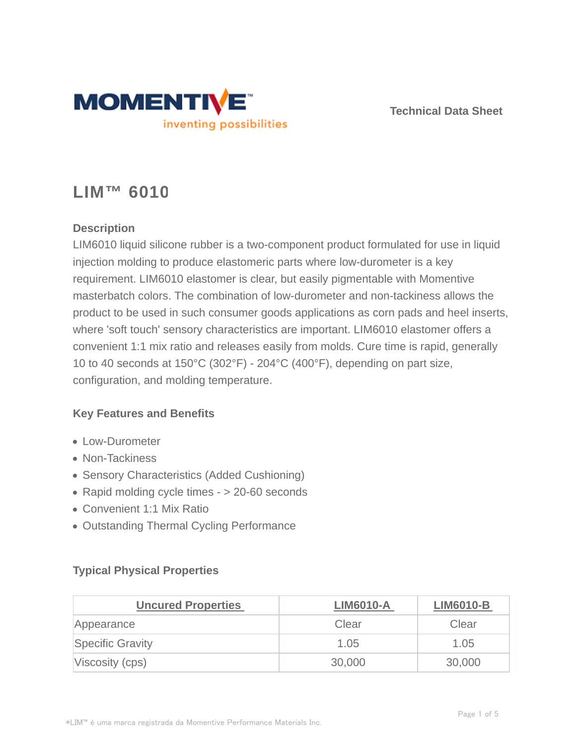

**Technical Data Sheet**

# **LIM™ 6010**

## **Description**

LIM6010 liquid silicone rubber is a two-component product formulated for use in liquid injection molding to produce elastomeric parts where low-durometer is a key requirement. LIM6010 elastomer is clear, but easily pigmentable with Momentive masterbatch colors. The combination of low-durometer and non-tackiness allows the product to be used in such consumer goods applications as corn pads and heel inserts, where 'soft touch' sensory characteristics are important. LIM6010 elastomer offers a convenient 1:1 mix ratio and releases easily from molds. Cure time is rapid, generally 10 to 40 seconds at 150°C (302°F) - 204°C (400°F), depending on part size, configuration, and molding temperature.

#### **Key Features and Benefits**

- Low-Durometer
- Non-Tackiness
- Sensory Characteristics (Added Cushioning)
- Rapid molding cycle times > 20-60 seconds
- Convenient 1:1 Mix Ratio
- Outstanding Thermal Cycling Performance

## **Typical Physical Properties**

| <b>Uncured Properties</b> | <b>LIM6010-A</b> | <b>LIM6010-B</b> |
|---------------------------|------------------|------------------|
| Appearance                | Clear            | Clear            |
| <b>Specific Gravity</b>   | 1.05             | 1.05             |
| Viscosity (cps)           | 30,000           | 30,000           |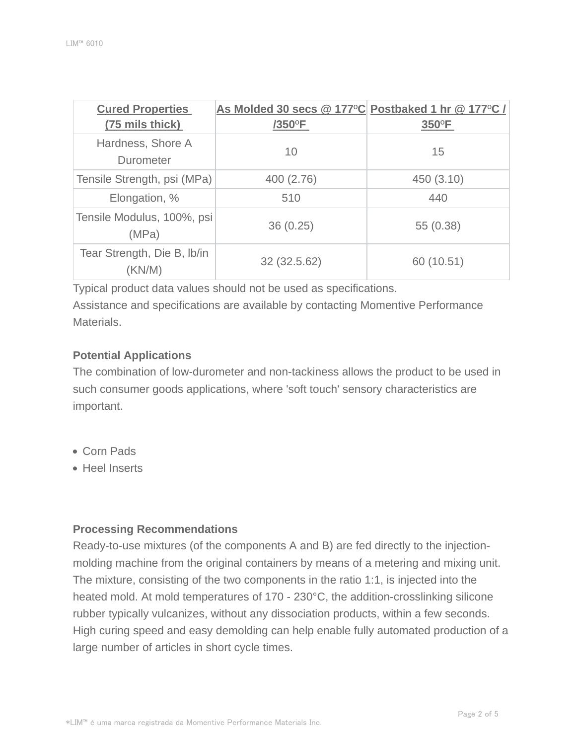| <b>Cured Properties</b>              | As Molded 30 secs @ 177°C Postbaked 1 hr @ 177°C / |            |
|--------------------------------------|----------------------------------------------------|------------|
| (75 mils thick)                      | /350°F                                             | 350°F      |
| Hardness, Shore A<br>Durometer       | 10                                                 | 15         |
| Tensile Strength, psi (MPa)          | 400 (2.76)                                         | 450 (3.10) |
| Elongation, %                        | 510                                                | 440        |
| Tensile Modulus, 100%, psi<br>(MPa)  | 36(0.25)                                           | 55 (0.38)  |
| Tear Strength, Die B, Ib/in<br>KN/M) | 32 (32.5.62)                                       | 60 (10.51) |

Typical product data values should not be used as specifications.

Assistance and specifications are available by contacting Momentive Performance Materials.

#### **Potential Applications**

The combination of low-durometer and non-tackiness allows the product to be used in such consumer goods applications, where 'soft touch' sensory characteristics are important.

- Corn Pads
- **Heel Inserts**

#### **Processing Recommendations**

Ready-to-use mixtures (of the components A and B) are fed directly to the injectionmolding machine from the original containers by means of a metering and mixing unit. The mixture, consisting of the two components in the ratio 1:1, is injected into the heated mold. At mold temperatures of 170 - 230°C, the addition-crosslinking silicone rubber typically vulcanizes, without any dissociation products, within a few seconds. High curing speed and easy demolding can help enable fully automated production of a large number of articles in short cycle times.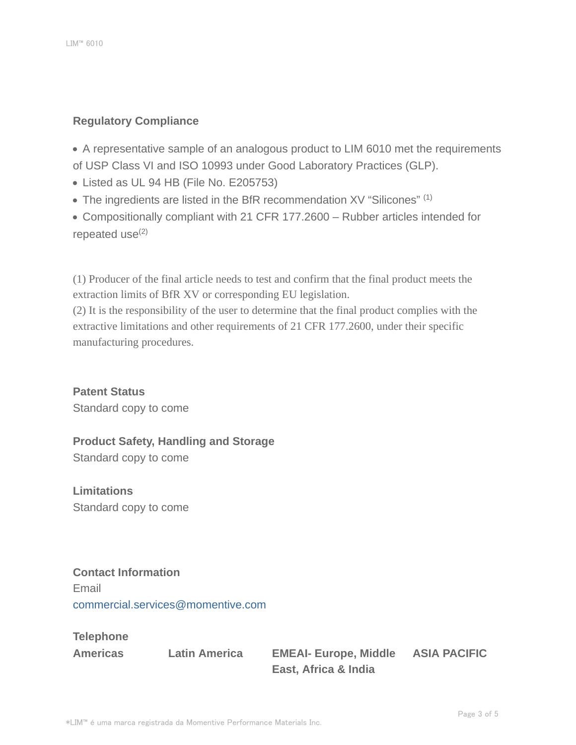#### **Regulatory Compliance**

A representative sample of an analogous product to LIM 6010 met the requirements of USP Class VI and ISO 10993 under Good Laboratory Practices (GLP).

- Listed as UL 94 HB (File No. E205753)
- The ingredients are listed in the BfR recommendation XV "Silicones" (1)

Compositionally compliant with 21 CFR 177.2600 – Rubber articles intended for repeated use $(2)$ 

(1) Producer of the final article needs to test and confirm that the final product meets the extraction limits of BfR XV or corresponding EU legislation.

(2) It is the responsibility of the user to determine that the final product complies with the extractive limitations and other requirements of 21 CFR 177.2600, under their specific manufacturing procedures.

**Patent Status** Standard copy to come

# **Product Safety, Handling and Storage**

Standard copy to come

**Limitations** Standard copy to come

## **Contact Information**

Email commercial.services@momentive.com

**Telephone**

**Americas Latin America EMEAI- Europe, Middle East, Africa & India**

**ASIA PACIFIC**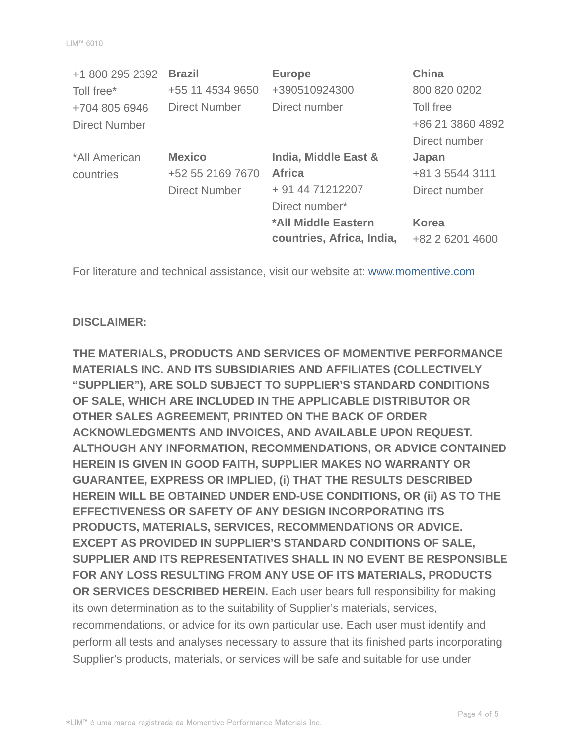| +1 800 295 2392      | <b>Brazil</b>        | <b>Europe</b>             | <b>China</b>     |
|----------------------|----------------------|---------------------------|------------------|
| Toll free*           | +55 11 4534 9650     | +390510924300             | 800 820 0202     |
| +704 805 6946        | <b>Direct Number</b> | Direct number             | Toll free        |
| <b>Direct Number</b> |                      |                           | +86 21 3860 4892 |
|                      |                      |                           | Direct number    |
| *All American        | <b>Mexico</b>        | India, Middle East &      | Japan            |
| countries            | +52 55 2169 7670     | <b>Africa</b>             | +81 3 5544 3111  |
|                      | <b>Direct Number</b> | + 91 44 71212207          | Direct number    |
|                      |                      | Direct number*            |                  |
|                      |                      | *All Middle Eastern       | <b>Korea</b>     |
|                      |                      | countries, Africa, India, | +82 2 6201 4600  |

For literature and technical assistance, visit our website at: www.momentive.com

#### **DISCLAIMER:**

**THE MATERIALS, PRODUCTS AND SERVICES OF MOMENTIVE PERFORMANCE MATERIALS INC. AND ITS SUBSIDIARIES AND AFFILIATES (COLLECTIVELY "SUPPLIER"), ARE SOLD SUBJECT TO SUPPLIER'S STANDARD CONDITIONS OF SALE, WHICH ARE INCLUDED IN THE APPLICABLE DISTRIBUTOR OR OTHER SALES AGREEMENT, PRINTED ON THE BACK OF ORDER ACKNOWLEDGMENTS AND INVOICES, AND AVAILABLE UPON REQUEST. ALTHOUGH ANY INFORMATION, RECOMMENDATIONS, OR ADVICE CONTAINED HEREIN IS GIVEN IN GOOD FAITH, SUPPLIER MAKES NO WARRANTY OR GUARANTEE, EXPRESS OR IMPLIED, (i) THAT THE RESULTS DESCRIBED HEREIN WILL BE OBTAINED UNDER END-USE CONDITIONS, OR (ii) AS TO THE EFFECTIVENESS OR SAFETY OF ANY DESIGN INCORPORATING ITS PRODUCTS, MATERIALS, SERVICES, RECOMMENDATIONS OR ADVICE. EXCEPT AS PROVIDED IN SUPPLIER'S STANDARD CONDITIONS OF SALE, SUPPLIER AND ITS REPRESENTATIVES SHALL IN NO EVENT BE RESPONSIBLE FOR ANY LOSS RESULTING FROM ANY USE OF ITS MATERIALS, PRODUCTS OR SERVICES DESCRIBED HEREIN.** Each user bears full responsibility for making its own determination as to the suitability of Supplier's materials, services, recommendations, or advice for its own particular use. Each user must identify and perform all tests and analyses necessary to assure that its finished parts incorporating Supplier's products, materials, or services will be safe and suitable for use under